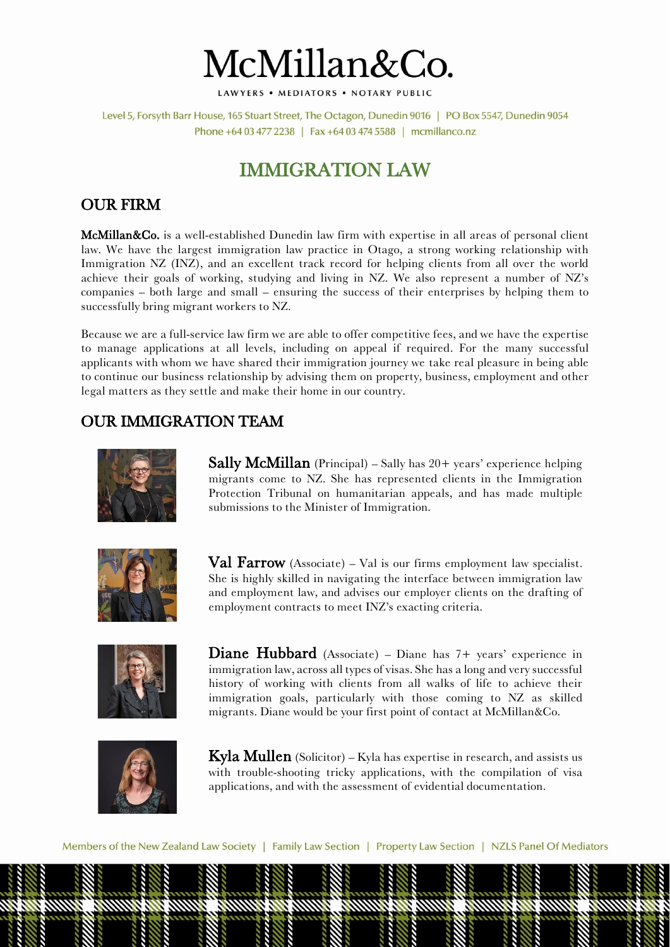

LAWYERS . MEDIATORS . NOTARY PUBLIC

Level 5, Forsyth Barr House, 165 Stuart Street, The Octagon, Dunedin 9016 | PO Box 5547, Dunedin 9054 Phone +64 03 477 2238 | Fax +64 03 474 5588 | mcmillanco.nz

# IMMIGRATION LAW

## OUR FIRM

McMillan&Co. is a well-established Dunedin law firm with expertise in all areas of personal client law. We have the largest immigration law practice in Otago, a strong working relationship with Immigration NZ (INZ), and an excellent track record for helping clients from all over the world achieve their goals of working, studying and living in NZ. We also represent a number of NZ's companies – both large and small – ensuring the success of their enterprises by helping them to successfully bring migrant workers to NZ.

Because we are a full-service law firm we are able to offer competitive fees, and we have the expertise to manage applications at all levels, including on appeal if required. For the many successful applicants with whom we have shared their immigration journey we take real pleasure in being able to continue our business relationship by advising them on property, business, employment and other legal matters as they settle and make their home in our country.

## OUR IMMIGRATION TEAM



Sally McMillan (Principal) – Sally has 20+ years' experience helping migrants come to NZ. She has represented clients in the Immigration Protection Tribunal on humanitarian appeals, and has made multiple submissions to the Minister of Immigration.



Val Farrow (Associate) - Val is our firms employment law specialist. She is highly skilled in navigating the interface between immigration law and employment law, and advises our employer clients on the drafting of employment contracts to meet INZ's exacting criteria.



Diane Hubbard (Associate) – Diane has 7+ years' experience in immigration law, across all types of visas. She has a long and very successful history of working with clients from all walks of life to achieve their immigration goals, particularly with those coming to NZ as skilled migrants. Diane would be your first point of contact at McMillan&Co.



**Kyla Mullen** (Solicitor) – Kyla has expertise in research, and assists us with trouble-shooting tricky applications, with the compilation of visa applications, and with the assessment of evidential documentation.

Members of the New Zealand Law Society | Family Law Section | Property Law Section | NZLS Panel Of Mediators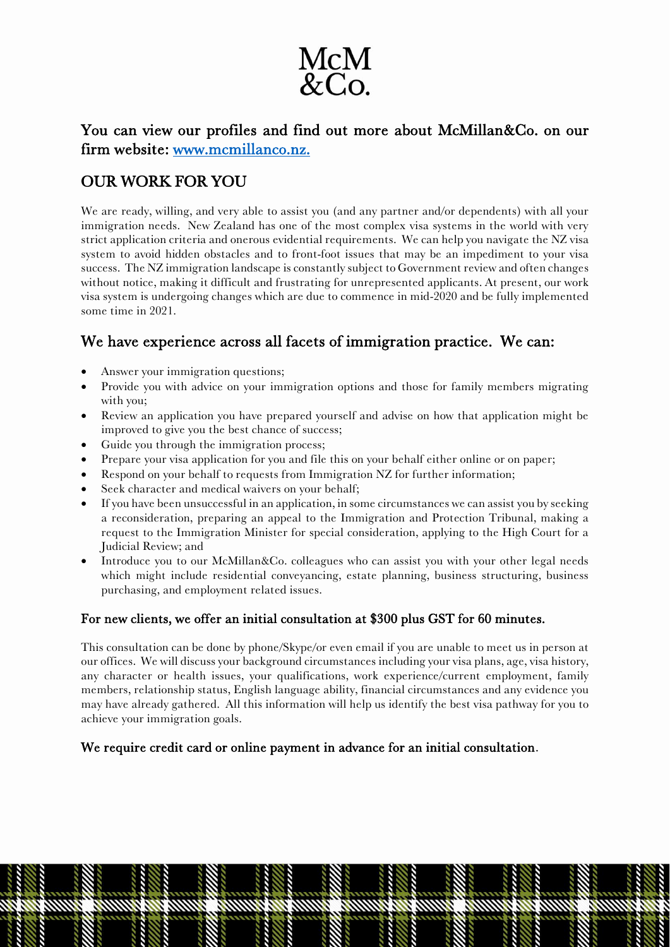

You can view our profiles and find out more about McMillan&Co. on our firm website: [www.mcmillanco.nz.](http://www.mcmillanco.nz/)

# OUR WORK FOR YOU

We are ready, willing, and very able to assist you (and any partner and/or dependents) with all your immigration needs. New Zealand has one of the most complex visa systems in the world with very strict application criteria and onerous evidential requirements. We can help you navigate the NZ visa system to avoid hidden obstacles and to front-foot issues that may be an impediment to your visa success. The NZ immigration landscape is constantly subject to Government review and often changes without notice, making it difficult and frustrating for unrepresented applicants. At present, our work visa system is undergoing changes which are due to commence in mid-2020 and be fully implemented some time in 2021.

## We have experience across all facets of immigration practice. We can:

- Answer your immigration questions;
- Provide you with advice on your immigration options and those for family members migrating with you;
- Review an application you have prepared yourself and advise on how that application might be improved to give you the best chance of success;
- Guide you through the immigration process;
- Prepare your visa application for you and file this on your behalf either online or on paper;
- Respond on your behalf to requests from Immigration NZ for further information;
- Seek character and medical waivers on your behalf;
- If you have been unsuccessful in an application, in some circumstances we can assist you by seeking a reconsideration, preparing an appeal to the Immigration and Protection Tribunal, making a request to the Immigration Minister for special consideration, applying to the High Court for a Judicial Review; and
- Introduce you to our McMillan&Co. colleagues who can assist you with your other legal needs which might include residential conveyancing, estate planning, business structuring, business purchasing, and employment related issues.

#### For new clients, we offer an initial consultation at \$300 plus GST for 60 minutes.

This consultation can be done by phone/Skype/or even email if you are unable to meet us in person at our offices. We will discuss your background circumstances including your visa plans, age, visa history, any character or health issues, your qualifications, work experience/current employment, family members, relationship status, English language ability, financial circumstances and any evidence you may have already gathered. All this information will help us identify the best visa pathway for you to achieve your immigration goals.

#### We require credit card or online payment in advance for an initial consultation.